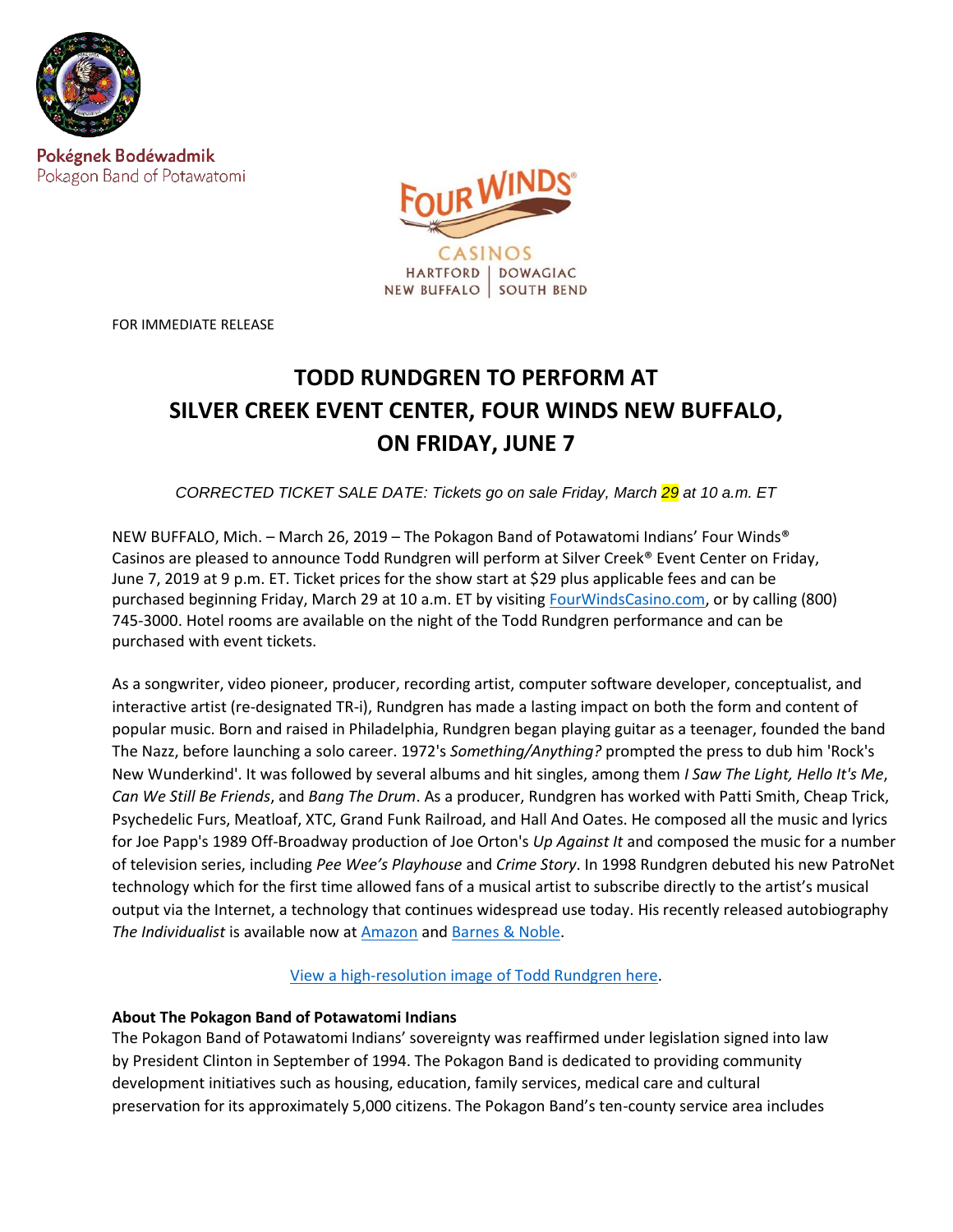

Pokégnek Bodéwadmik Pokagon Band of Potawatomi



FOR IMMEDIATE RELEASE

# **TODD RUNDGREN TO PERFORM AT SILVER CREEK EVENT CENTER, FOUR WINDS NEW BUFFALO, ON FRIDAY, JUNE 7**

*CORRECTED TICKET SALE DATE: Tickets go on sale Friday, March 29 at 10 a.m. ET*

NEW BUFFALO, Mich. – March 26, 2019 – The Pokagon Band of Potawatomi Indians' Four Winds® Casinos are pleased to announce Todd Rundgren will perform at Silver Creek® Event Center on Friday, June 7, 2019 at 9 p.m. ET. Ticket prices for the show start at \$29 plus applicable fees and can be purchased beginning Friday, March 29 at 10 a.m. ET by visiting [FourWindsCasino.com,](https://www.fourwindscasino.com/newbuffalo/entertainment/event-center/) or by calling (800) 745-3000. Hotel rooms are available on the night of the Todd Rundgren performance and can be purchased with event tickets.

As a songwriter, video pioneer, producer, recording artist, computer software developer, conceptualist, and interactive artist (re-designated TR-i), Rundgren has made a lasting impact on both the form and content of popular music. Born and raised in Philadelphia, Rundgren began playing guitar as a teenager, founded the band The Nazz, before launching a solo career. 1972's *Something/Anything?* prompted the press to dub him 'Rock's New Wunderkind'. It was followed by several albums and hit singles, among them *I Saw The Light, Hello It's Me*, *Can We Still Be Friends*, and *Bang The Drum*. As a producer, Rundgren has worked with Patti Smith, Cheap Trick, Psychedelic Furs, Meatloaf, XTC, Grand Funk Railroad, and Hall And Oates. He composed all the music and lyrics for Joe Papp's 1989 Off-Broadway production of Joe Orton's *Up Against It* and composed the music for a number of television series, including *Pee Wee's Playhouse* and *Crime Story*. In 1998 Rundgren debuted his new PatroNet technology which for the first time allowed fans of a musical artist to subscribe directly to the artist's musical output via the Internet, a technology that continues widespread use today. His recently released autobiography *The Individualist* is available now at [Amazon](https://www.amazon.com/Individualist-Digressions-Dreams-Dissertations/dp/0997205652) and [Barnes & Noble.](https://www.barnesandnoble.com/w/the-individualist-digressions-dreams-dissertations-todd-rundgren/1129823803?ean=9780997205657&st=PLA&sid=BNB_ADL+Core+Good+Books+-+Desktop+Low&sourceId=PLAGoNA&dpid=tdtve346c&2sid=Google_c&gclid=Cj0KCQjwg73kBRDVARIsAF-kEH-Kov9z4eH0tJL0Ozxhr0s6Rgg9fp6whTnFH5L6N4bI5RRd1WCVZgcaAqYVEALw_wcB#/)

View [a high-resolution image of Todd Rundgren here.](https://www.dropbox.com/sh/wzlbm8j83nhtxbx/AADVIR54bRT7L9IqfbWw-BjAa?dl=0)

## **About The Pokagon Band of Potawatomi Indians**

The Pokagon Band of Potawatomi Indians' sovereignty was reaffirmed under legislation signed into law by President Clinton in September of 1994. The Pokagon Band is dedicated to providing community development initiatives such as housing, education, family services, medical care and cultural preservation for its approximately 5,000 citizens. The Pokagon Band's ten-county service area includes